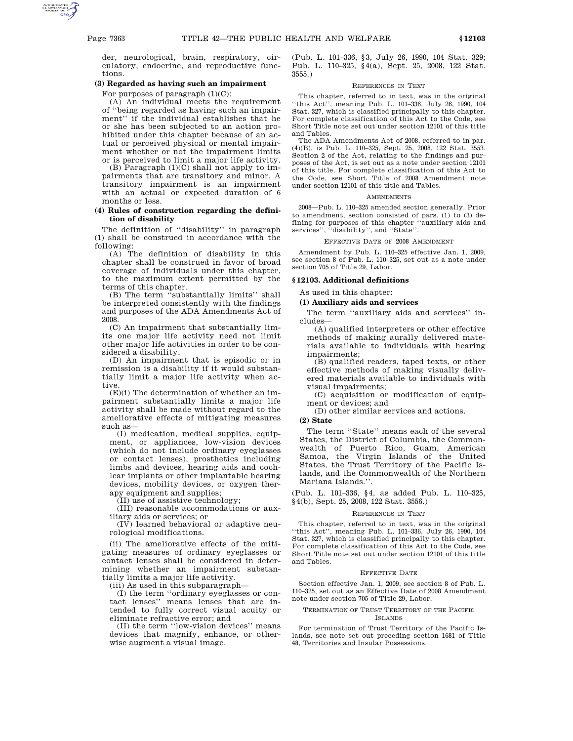der, neurological, brain, respiratory, circulatory, endocrine, and reproductive functions.

### **(3) Regarded as having such an impairment**

For purposes of paragraph  $(1)(C)$ :

(A) An individual meets the requirement of ''being regarded as having such an impairment'' if the individual establishes that he or she has been subjected to an action prohibited under this chapter because of an actual or perceived physical or mental impairment whether or not the impairment limits or is perceived to limit a major life activity.

 $(B)$  Paragraph  $(1)(C)$  shall not apply to impairments that are transitory and minor. A transitory impairment is an impairment with an actual or expected duration of 6 months or less.

## **(4) Rules of construction regarding the definition of disability**

The definition of ''disability'' in paragraph (1) shall be construed in accordance with the following:

(A) The definition of disability in this chapter shall be construed in favor of broad coverage of individuals under this chapter, to the maximum extent permitted by the terms of this chapter.

(B) The term ''substantially limits'' shall be interpreted consistently with the findings and purposes of the ADA Amendments Act of 2008.

(C) An impairment that substantially limits one major life activity need not limit other major life activities in order to be considered a disability.

(D) An impairment that is episodic or in remission is a disability if it would substantially limit a major life activity when active.

 $(E)(i)$  The determination of whether an impairment substantially limits a major life activity shall be made without regard to the ameliorative effects of mitigating measures such as—

(I) medication, medical supplies, equipment, or appliances, low-vision devices (which do not include ordinary eyeglasses or contact lenses), prosthetics including limbs and devices, hearing aids and cochlear implants or other implantable hearing devices, mobility devices, or oxygen therapy equipment and supplies;

(II) use of assistive technology;

(III) reasonable accommodations or auxiliary aids or services; or

(IV) learned behavioral or adaptive neurological modifications.

(ii) The ameliorative effects of the mitigating measures of ordinary eyeglasses or contact lenses shall be considered in determining whether an impairment substantially limits a major life activity.

(iii) As used in this subparagraph—

(I) the term ''ordinary eyeglasses or contact lenses'' means lenses that are intended to fully correct visual acuity or eliminate refractive error; and

(II) the term ''low-vision devices'' means devices that magnify, enhance, or otherwise augment a visual image.

(Pub. L. 101–336, §3, July 26, 1990, 104 Stat. 329; Pub. L. 110–325, §4(a), Sept. 25, 2008, 122 Stat. 3555.)

## REFERENCES IN TEXT

This chapter, referred to in text, was in the original ''this Act'', meaning Pub. L. 101–336, July 26, 1990, 104 Stat. 327, which is classified principally to this chapter. For complete classification of this Act to the Code, see Short Title note set out under section 12101 of this title and Tables.

The ADA Amendments Act of 2008, referred to in par. (4)(B), is Pub. L. 110–325, Sept. 25, 2008, 122 Stat. 3553. Section 2 of the Act, relating to the findings and purposes of the Act, is set out as a note under section 12101 of this title. For complete classification of this Act to the Code, see Short Title of 2008 Amendment note under section 12101 of this title and Tables.

#### **AMENDMENTS**

2008—Pub. L. 110–325 amended section generally. Prior to amendment, section consisted of pars. (1) to (3) defining for purposes of this chapter ''auxiliary aids and services'', ''disability'', and ''State''.

### CTIVE DATE OF 2008 AMENDMENT

Amendment by Pub. L. 110–325 effective Jan. 1, 2009, see section 8 of Pub. L. 110–325, set out as a note under section 705 of Title 29, Labor.

#### **§ 12103. Additional definitions**

As used in this chapter:

### **(1) Auxiliary aids and services**

The term ''auxiliary aids and services'' includes—

(A) qualified interpreters or other effective methods of making aurally delivered materials available to individuals with hearing impairments;

(B) qualified readers, taped texts, or other effective methods of making visually delivered materials available to individuals with visual impairments;

(C) acquisition or modification of equipment or devices; and

(D) other similar services and actions.

## **(2) State**

The term ''State'' means each of the several States, the District of Columbia, the Commonwealth of Puerto Rico, Guam, American Samoa, the Virgin Islands of the United States, the Trust Territory of the Pacific Islands, and the Commonwealth of the Northern Mariana Islands.''.

(Pub. L. 101–336, §4, as added Pub. L. 110–325, §4(b), Sept. 25, 2008, 122 Stat. 3556.)

#### REFERENCES IN TEXT

This chapter, referred to in text, was in the original ''this Act'', meaning Pub. L. 101–336, July 26, 1990, 104 Stat. 327, which is classified principally to this chapter. For complete classification of this Act to the Code, see Short Title note set out under section 12101 of this title and Tables.

#### EFFECTIVE DATE

Section effective Jan. 1, 2009, see section 8 of Pub. L. 110–325, set out as an Effective Date of 2008 Amendment note under section 705 of Title 29, Labor.

# TERMINATION OF TRUST TERRITORY OF THE PACIFIC

ISLANDS

For termination of Trust Territory of the Pacific Islands, see note set out preceding section 1681 of Title 48, Territories and Insular Possessions.